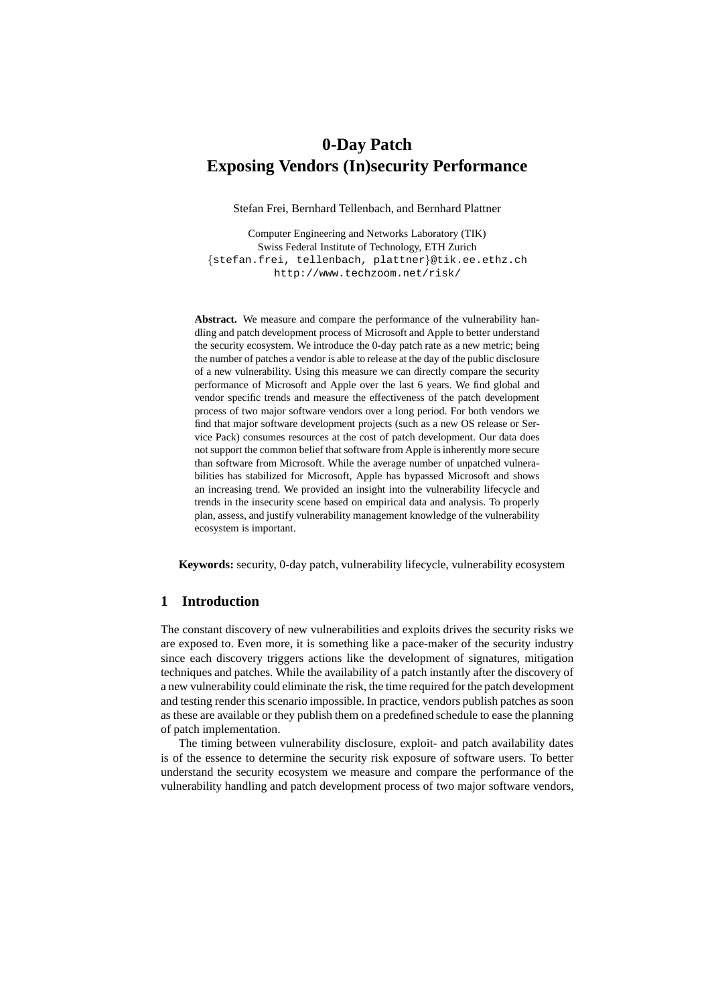# **0-Day Patch Exposing Vendors (In)security Performance**

Stefan Frei, Bernhard Tellenbach, and Bernhard Plattner

Computer Engineering and Networks Laboratory (TIK) Swiss Federal Institute of Technology, ETH Zurich {stefan.frei, tellenbach, plattner}@tik.ee.ethz.ch http://www.techzoom.net/risk/

**Abstract.** We measure and compare the performance of the vulnerability handling and patch development process of Microsoft and Apple to better understand the security ecosystem. We introduce the 0-day patch rate as a new metric; being the number of patches a vendor is able to release at the day of the public disclosure of a new vulnerability. Using this measure we can directly compare the security performance of Microsoft and Apple over the last 6 years. We find global and vendor specific trends and measure the effectiveness of the patch development process of two major software vendors over a long period. For both vendors we find that major software development projects (such as a new OS release or Service Pack) consumes resources at the cost of patch development. Our data does not support the common belief that software from Apple is inherently more secure than software from Microsoft. While the average number of unpatched vulnerabilities has stabilized for Microsoft, Apple has bypassed Microsoft and shows an increasing trend. We provided an insight into the vulnerability lifecycle and trends in the insecurity scene based on empirical data and analysis. To properly plan, assess, and justify vulnerability management knowledge of the vulnerability ecosystem is important.

**Keywords:** security, 0-day patch, vulnerability lifecycle, vulnerability ecosystem

## **1 Introduction**

The constant discovery of new vulnerabilities and exploits drives the security risks we are exposed to. Even more, it is something like a pace-maker of the security industry since each discovery triggers actions like the development of signatures, mitigation techniques and patches. While the availability of a patch instantly after the discovery of a new vulnerability could eliminate the risk, the time required for the patch development and testing render this scenario impossible. In practice, vendors publish patches as soon as these are available or they publish them on a predefined schedule to ease the planning of patch implementation.

The timing between vulnerability disclosure, exploit- and patch availability dates is of the essence to determine the security risk exposure of software users. To better understand the security ecosystem we measure and compare the performance of the vulnerability handling and patch development process of two major software vendors,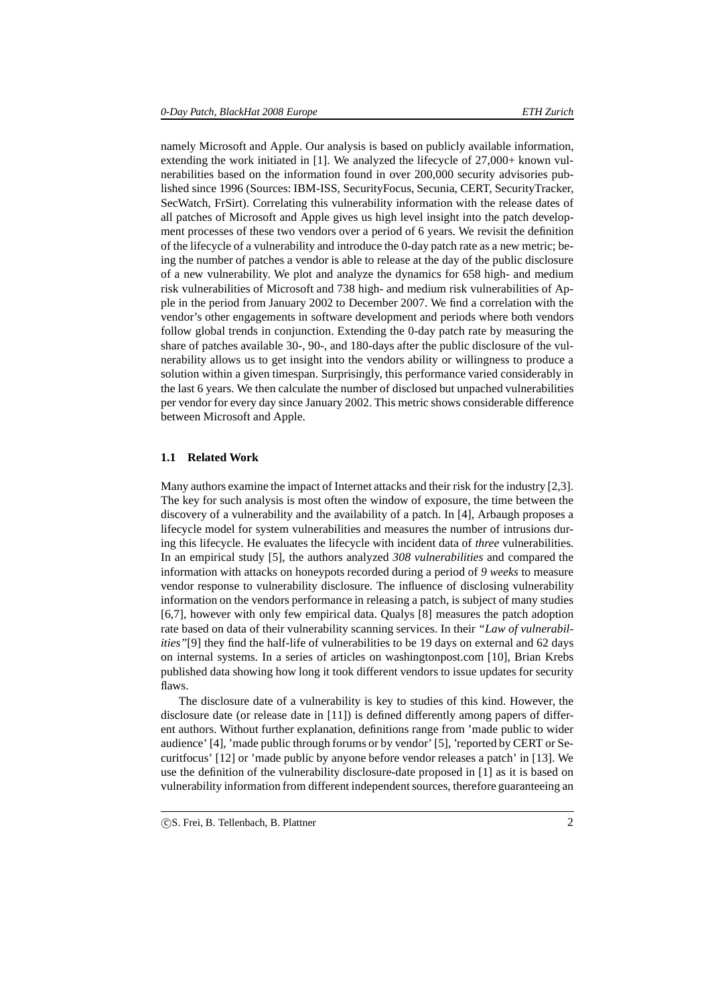namely Microsoft and Apple. Our analysis is based on publicly available information, extending the work initiated in [1]. We analyzed the lifecycle of  $27,000+$  known vulnerabilities based on the information found in over 200,000 security advisories published since 1996 (Sources: IBM-ISS, SecurityFocus, Secunia, CERT, SecurityTracker, SecWatch, FrSirt). Correlating this vulnerability information with the release dates of all patches of Microsoft and Apple gives us high level insight into the patch development processes of these two vendors over a period of 6 years. We revisit the definition of the lifecycle of a vulnerability and introduce the 0-day patch rate as a new metric; being the number of patches a vendor is able to release at the day of the public disclosure of a new vulnerability. We plot and analyze the dynamics for 658 high- and medium risk vulnerabilities of Microsoft and 738 high- and medium risk vulnerabilities of Apple in the period from January 2002 to December 2007. We find a correlation with the vendor's other engagements in software development and periods where both vendors follow global trends in conjunction. Extending the 0-day patch rate by measuring the share of patches available 30-, 90-, and 180-days after the public disclosure of the vulnerability allows us to get insight into the vendors ability or willingness to produce a solution within a given timespan. Surprisingly, this performance varied considerably in the last 6 years. We then calculate the number of disclosed but unpached vulnerabilities per vendor for every day since January 2002. This metric shows considerable difference between Microsoft and Apple.

#### **1.1 Related Work**

Many authors examine the impact of Internet attacks and their risk for the industry [2,3]. The key for such analysis is most often the window of exposure, the time between the discovery of a vulnerability and the availability of a patch. In [4], Arbaugh proposes a lifecycle model for system vulnerabilities and measures the number of intrusions during this lifecycle. He evaluates the lifecycle with incident data of *three* vulnerabilities. In an empirical study [5], the authors analyzed *308 vulnerabilities* and compared the information with attacks on honeypots recorded during a period of *9 weeks* to measure vendor response to vulnerability disclosure. The influence of disclosing vulnerability information on the vendors performance in releasing a patch, is subject of many studies [6,7], however with only few empirical data. Qualys [8] measures the patch adoption rate based on data of their vulnerability scanning services. In their *"Law of vulnerabilities"*[9] they find the half-life of vulnerabilities to be 19 days on external and 62 days on internal systems. In a series of articles on washingtonpost.com [10], Brian Krebs published data showing how long it took different vendors to issue updates for security flaws.

The disclosure date of a vulnerability is key to studies of this kind. However, the disclosure date (or release date in [11]) is defined differently among papers of different authors. Without further explanation, definitions range from 'made public to wider audience' [4], 'made public through forums or by vendor' [5], 'reported by CERT or Securitfocus' [12] or 'made public by anyone before vendor releases a patch' in [13]. We use the definition of the vulnerability disclosure-date proposed in [1] as it is based on vulnerability information from different independent sources, therefore guaranteeing an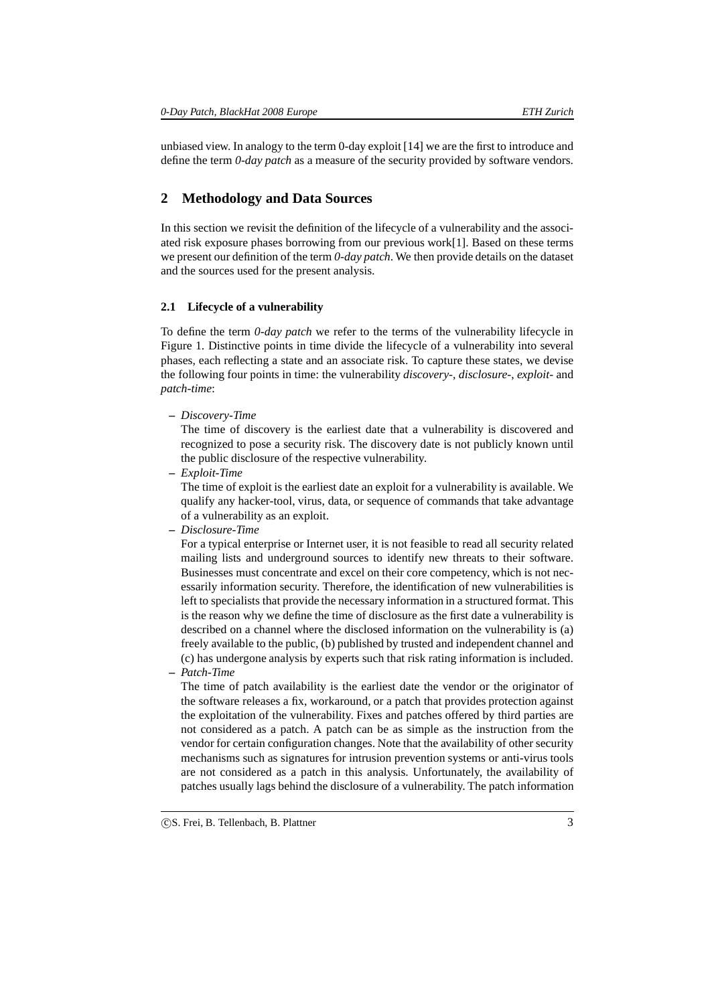unbiased view. In analogy to the term 0-day exploit [14] we are the first to introduce and define the term *0-day patch* as a measure of the security provided by software vendors.

## **2 Methodology and Data Sources**

In this section we revisit the definition of the lifecycle of a vulnerability and the associated risk exposure phases borrowing from our previous work[1]. Based on these terms we present our definition of the term *0-day patch*. We then provide details on the dataset and the sources used for the present analysis.

## **2.1 Lifecycle of a vulnerability**

To define the term *0-day patch* we refer to the terms of the vulnerability lifecycle in Figure 1. Distinctive points in time divide the lifecycle of a vulnerability into several phases, each reflecting a state and an associate risk. To capture these states, we devise the following four points in time: the vulnerability *discovery-*, *disclosure-*, *exploit-* and *patch-time*:

**–** *Discovery-Time*

The time of discovery is the earliest date that a vulnerability is discovered and recognized to pose a security risk. The discovery date is not publicly known until the public disclosure of the respective vulnerability.

**–** *Exploit-Time*

The time of exploit is the earliest date an exploit for a vulnerability is available. We qualify any hacker-tool, virus, data, or sequence of commands that take advantage of a vulnerability as an exploit.

**–** *Disclosure-Time*

For a typical enterprise or Internet user, it is not feasible to read all security related mailing lists and underground sources to identify new threats to their software. Businesses must concentrate and excel on their core competency, which is not necessarily information security. Therefore, the identification of new vulnerabilities is left to specialists that provide the necessary information in a structured format. This is the reason why we define the time of disclosure as the first date a vulnerability is described on a channel where the disclosed information on the vulnerability is (a) freely available to the public, (b) published by trusted and independent channel and (c) has undergone analysis by experts such that risk rating information is included.

**–** *Patch-Time*

The time of patch availability is the earliest date the vendor or the originator of the software releases a fix, workaround, or a patch that provides protection against the exploitation of the vulnerability. Fixes and patches offered by third parties are not considered as a patch. A patch can be as simple as the instruction from the vendor for certain configuration changes. Note that the availability of other security mechanisms such as signatures for intrusion prevention systems or anti-virus tools are not considered as a patch in this analysis. Unfortunately, the availability of patches usually lags behind the disclosure of a vulnerability. The patch information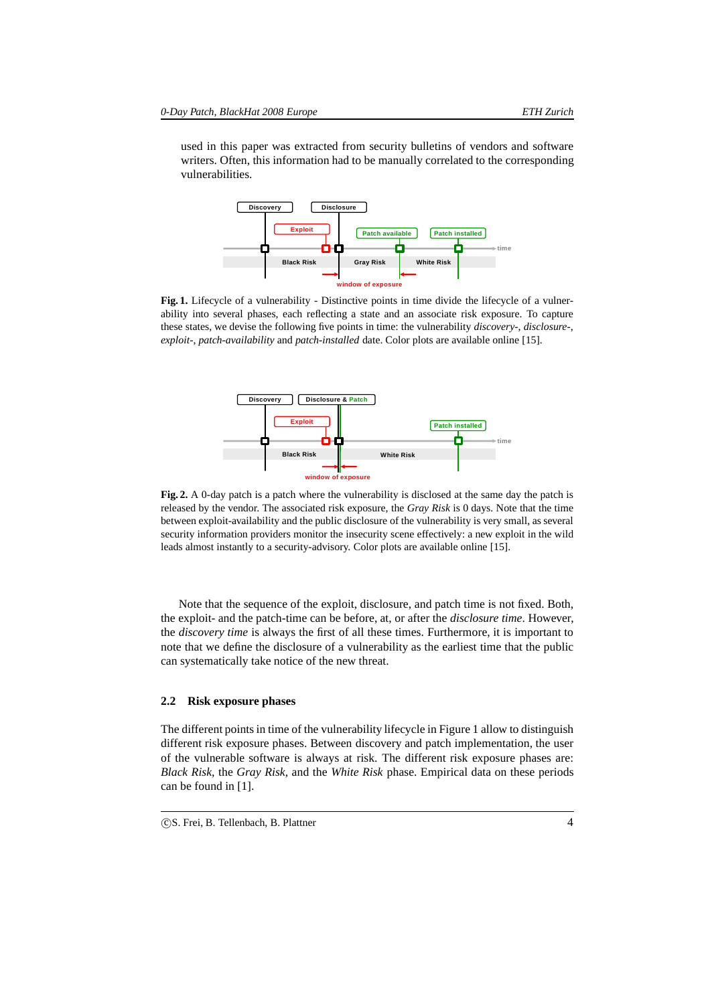used in this paper was extracted from security bulletins of vendors and software writers. Often, this information had to be manually correlated to the corresponding vulnerabilities.



Fig. 1. Lifecycle of a vulnerability - Distinctive points in time divide the lifecycle of a vulnerability into several phases, each reflecting a state and an associate risk exposure. To capture these states, we devise the following five points in time: the vulnerability *discovery-*, *disclosure-*, *exploit-*, *patch-availability* and *patch-installed* date. Color plots are available online [15].



**Fig. 2.** A 0-day patch is a patch where the vulnerability is disclosed at the same day the patch is released by the vendor. The associated risk exposure, the *Gray Risk* is 0 days. Note that the time between exploit-availability and the public disclosure of the vulnerability is very small, as several security information providers monitor the insecurity scene effectively: a new exploit in the wild leads almost instantly to a security-advisory. Color plots are available online [15].

Note that the sequence of the exploit, disclosure, and patch time is not fixed. Both, the exploit- and the patch-time can be before, at, or after the *disclosure time*. However, the *discovery time* is always the first of all these times. Furthermore, it is important to note that we define the disclosure of a vulnerability as the earliest time that the public can systematically take notice of the new threat.

## **2.2 Risk exposure phases**

The different points in time of the vulnerability lifecycle in Figure 1 allow to distinguish different risk exposure phases. Between discovery and patch implementation, the user of the vulnerable software is always at risk. The different risk exposure phases are: *Black Risk*, the *Gray Risk*, and the *White Risk* phase. Empirical data on these periods can be found in [1].

CS. Frei, B. Tellenbach, B. Plattner 4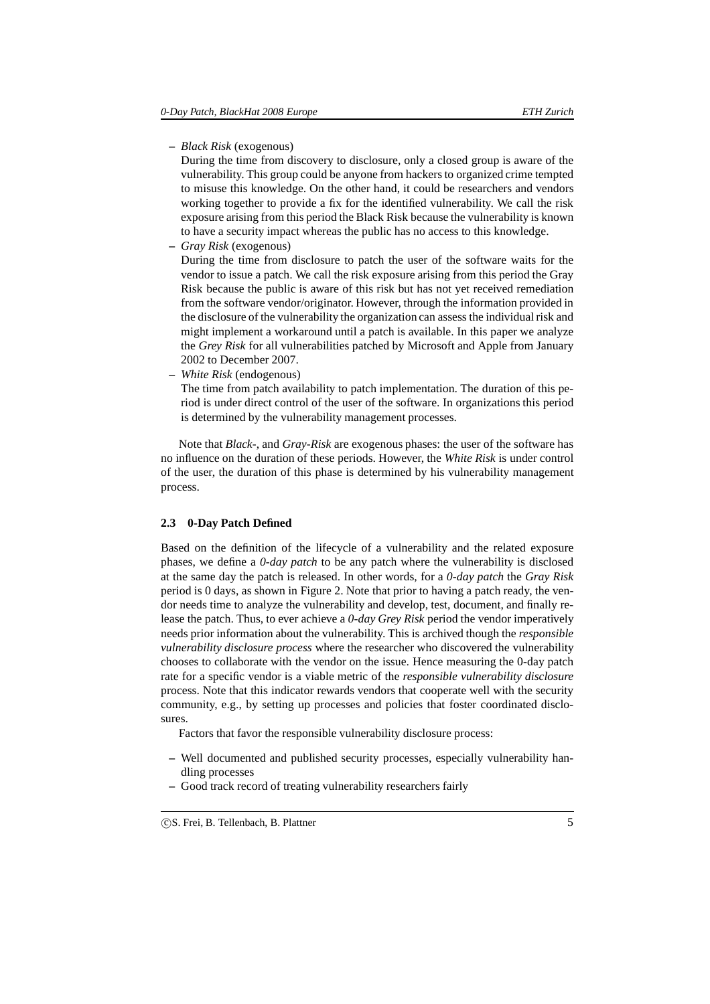**–** *Black Risk* (exogenous)

During the time from discovery to disclosure, only a closed group is aware of the vulnerability. This group could be anyone from hackers to organized crime tempted to misuse this knowledge. On the other hand, it could be researchers and vendors working together to provide a fix for the identified vulnerability. We call the risk exposure arising from this period the Black Risk because the vulnerability is known to have a security impact whereas the public has no access to this knowledge.

**–** *Gray Risk* (exogenous)

During the time from disclosure to patch the user of the software waits for the vendor to issue a patch. We call the risk exposure arising from this period the Gray Risk because the public is aware of this risk but has not yet received remediation from the software vendor/originator. However, through the information provided in the disclosure of the vulnerability the organization can assess the individual risk and might implement a workaround until a patch is available. In this paper we analyze the *Grey Risk* for all vulnerabilities patched by Microsoft and Apple from January 2002 to December 2007.

**–** *White Risk* (endogenous)

The time from patch availability to patch implementation. The duration of this period is under direct control of the user of the software. In organizations this period is determined by the vulnerability management processes.

Note that *Black-*, and *Gray-Risk* are exogenous phases: the user of the software has no influence on the duration of these periods. However, the *White Risk* is under control of the user, the duration of this phase is determined by his vulnerability management process.

## **2.3 0-Day Patch Defined**

Based on the definition of the lifecycle of a vulnerability and the related exposure phases, we define a *0-day patch* to be any patch where the vulnerability is disclosed at the same day the patch is released. In other words, for a *0-day patch* the *Gray Risk* period is 0 days, as shown in Figure 2. Note that prior to having a patch ready, the vendor needs time to analyze the vulnerability and develop, test, document, and finally release the patch. Thus, to ever achieve a *0-day Grey Risk* period the vendor imperatively needs prior information about the vulnerability. This is archived though the *responsible vulnerability disclosure process* where the researcher who discovered the vulnerability chooses to collaborate with the vendor on the issue. Hence measuring the 0-day patch rate for a specific vendor is a viable metric of the *responsible vulnerability disclosure* process. Note that this indicator rewards vendors that cooperate well with the security community, e.g., by setting up processes and policies that foster coordinated disclosures.

Factors that favor the responsible vulnerability disclosure process:

- **–** Well documented and published security processes, especially vulnerability handling processes
- **–** Good track record of treating vulnerability researchers fairly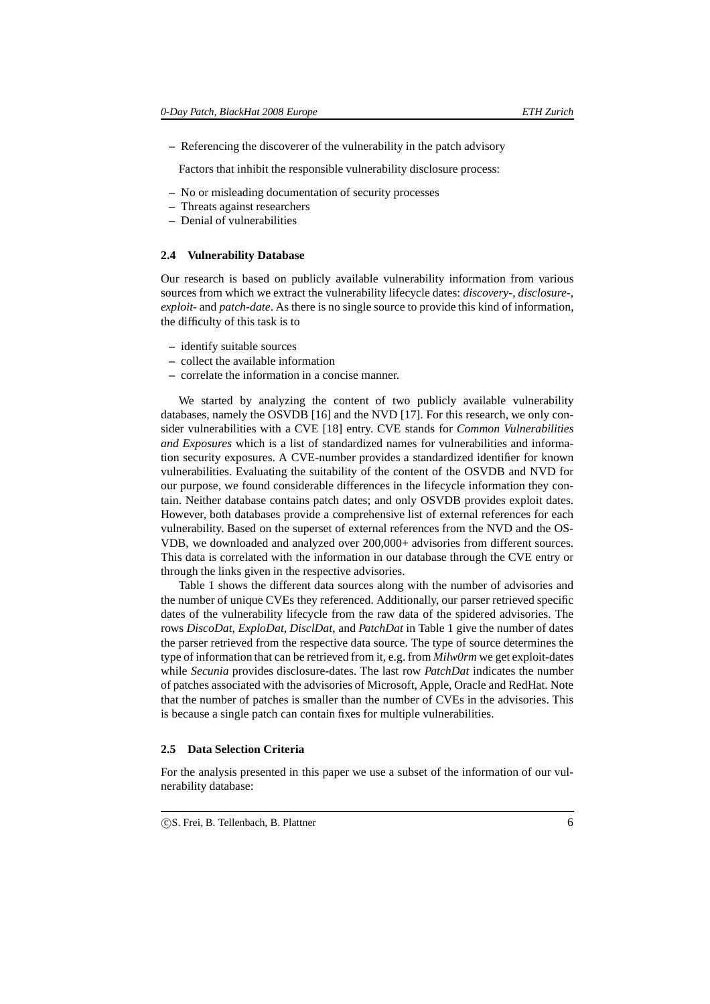**–** Referencing the discoverer of the vulnerability in the patch advisory

Factors that inhibit the responsible vulnerability disclosure process:

- **–** No or misleading documentation of security processes
- **–** Threats against researchers
- **–** Denial of vulnerabilities

## **2.4 Vulnerability Database**

Our research is based on publicly available vulnerability information from various sources from which we extract the vulnerability lifecycle dates: *discovery-*, *disclosure-*, *exploit-* and *patch-date*. As there is no single source to provide this kind of information, the difficulty of this task is to

- **–** identify suitable sources
- **–** collect the available information
- **–** correlate the information in a concise manner.

We started by analyzing the content of two publicly available vulnerability databases, namely the OSVDB [16] and the NVD [17]. For this research, we only consider vulnerabilities with a CVE [18] entry. CVE stands for *Common Vulnerabilities and Exposures* which is a list of standardized names for vulnerabilities and information security exposures. A CVE-number provides a standardized identifier for known vulnerabilities. Evaluating the suitability of the content of the OSVDB and NVD for our purpose, we found considerable differences in the lifecycle information they contain. Neither database contains patch dates; and only OSVDB provides exploit dates. However, both databases provide a comprehensive list of external references for each vulnerability. Based on the superset of external references from the NVD and the OS-VDB, we downloaded and analyzed over 200,000+ advisories from different sources. This data is correlated with the information in our database through the CVE entry or through the links given in the respective advisories.

Table 1 shows the different data sources along with the number of advisories and the number of unique CVEs they referenced. Additionally, our parser retrieved specific dates of the vulnerability lifecycle from the raw data of the spidered advisories. The rows *DiscoDat*, *ExploDat*, *DisclDat*, and *PatchDat* in Table 1 give the number of dates the parser retrieved from the respective data source. The type of source determines the type of information that can be retrieved from it, e.g. from *Milw0rm* we get exploit-dates while *Secunia* provides disclosure-dates. The last row *PatchDat* indicates the number of patches associated with the advisories of Microsoft, Apple, Oracle and RedHat. Note that the number of patches is smaller than the number of CVEs in the advisories. This is because a single patch can contain fixes for multiple vulnerabilities.

#### **2.5 Data Selection Criteria**

For the analysis presented in this paper we use a subset of the information of our vulnerability database: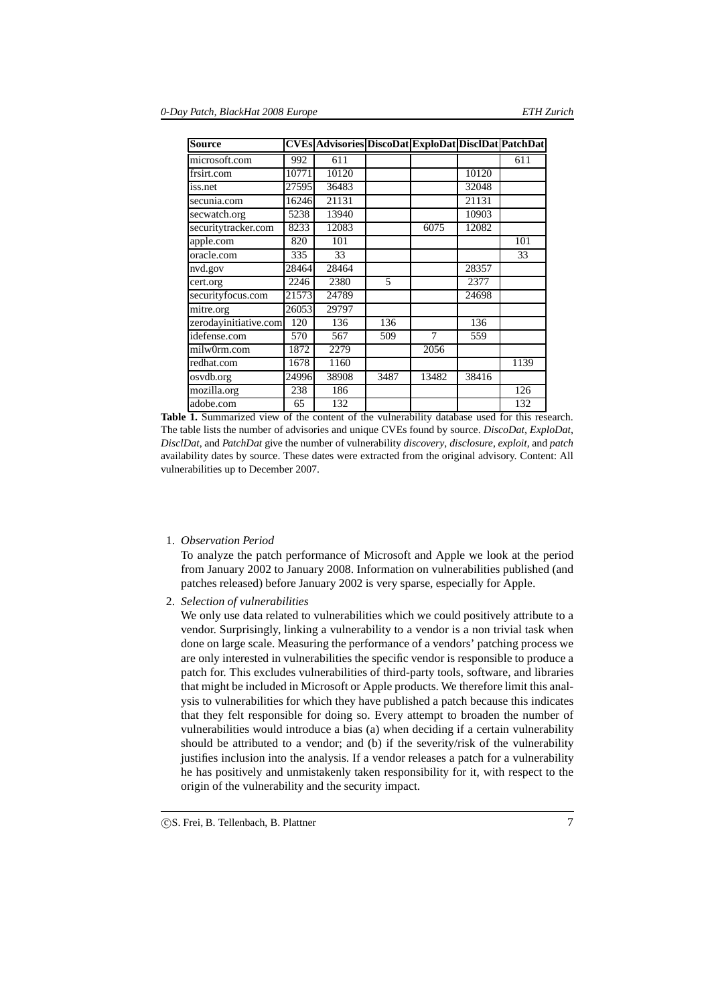| <b>Source</b>         |       | <b>CVEs Advisories DiscoDat ExploDat DiscIDat PatchDat</b> |      |       |       |      |
|-----------------------|-------|------------------------------------------------------------|------|-------|-------|------|
| microsoft.com         | 992   | 611                                                        |      |       |       | 611  |
| frsirt.com            | 10771 | 10120                                                      |      |       | 10120 |      |
| iss.net               | 27595 | 36483                                                      |      |       | 32048 |      |
| secunia.com           | 16246 | 21131                                                      |      |       | 21131 |      |
| secwatch.org          | 5238  | 13940                                                      |      |       | 10903 |      |
| securitytracker.com   | 8233  | 12083                                                      |      | 6075  | 12082 |      |
| apple.com             | 820   | 101                                                        |      |       |       | 101  |
| oracle.com            | 335   | 33                                                         |      |       |       | 33   |
| nvd.gov               | 28464 | 28464                                                      |      |       | 28357 |      |
| cert.org              | 2246  | 2380                                                       | 5    |       | 2377  |      |
| securityfocus.com     | 21573 | 24789                                                      |      |       | 24698 |      |
| mitre.org             | 26053 | 29797                                                      |      |       |       |      |
| zerodayinitiative.com | 120   | 136                                                        | 136  |       | 136   |      |
| idefense.com          | 570   | 567                                                        | 509  | 7     | 559   |      |
| milw0rm.com           | 1872  | 2279                                                       |      | 2056  |       |      |
| redhat.com            | 1678  | 1160                                                       |      |       |       | 1139 |
| osvdb.org             | 24996 | 38908                                                      | 3487 | 13482 | 38416 |      |
| mozilla.org           | 238   | 186                                                        |      |       |       | 126  |
| adobe.com             | 65    | 132                                                        |      |       |       | 132  |

**Table 1.** Summarized view of the content of the vulnerability database used for this research. The table lists the number of advisories and unique CVEs found by source. *DiscoDat*, *ExploDat*, *DisclDat*, and *PatchDat* give the number of vulnerability *discovery*, *disclosure*, *exploit*, and *patch* availability dates by source. These dates were extracted from the original advisory. Content: All vulnerabilities up to December 2007.

1. *Observation Period*

To analyze the patch performance of Microsoft and Apple we look at the period from January 2002 to January 2008. Information on vulnerabilities published (and patches released) before January 2002 is very sparse, especially for Apple.

2. *Selection of vulnerabilities*

We only use data related to vulnerabilities which we could positively attribute to a vendor. Surprisingly, linking a vulnerability to a vendor is a non trivial task when done on large scale. Measuring the performance of a vendors' patching process we are only interested in vulnerabilities the specific vendor is responsible to produce a patch for. This excludes vulnerabilities of third-party tools, software, and libraries that might be included in Microsoft or Apple products. We therefore limit this analysis to vulnerabilities for which they have published a patch because this indicates that they felt responsible for doing so. Every attempt to broaden the number of vulnerabilities would introduce a bias (a) when deciding if a certain vulnerability should be attributed to a vendor; and (b) if the severity/risk of the vulnerability justifies inclusion into the analysis. If a vendor releases a patch for a vulnerability he has positively and unmistakenly taken responsibility for it, with respect to the origin of the vulnerability and the security impact.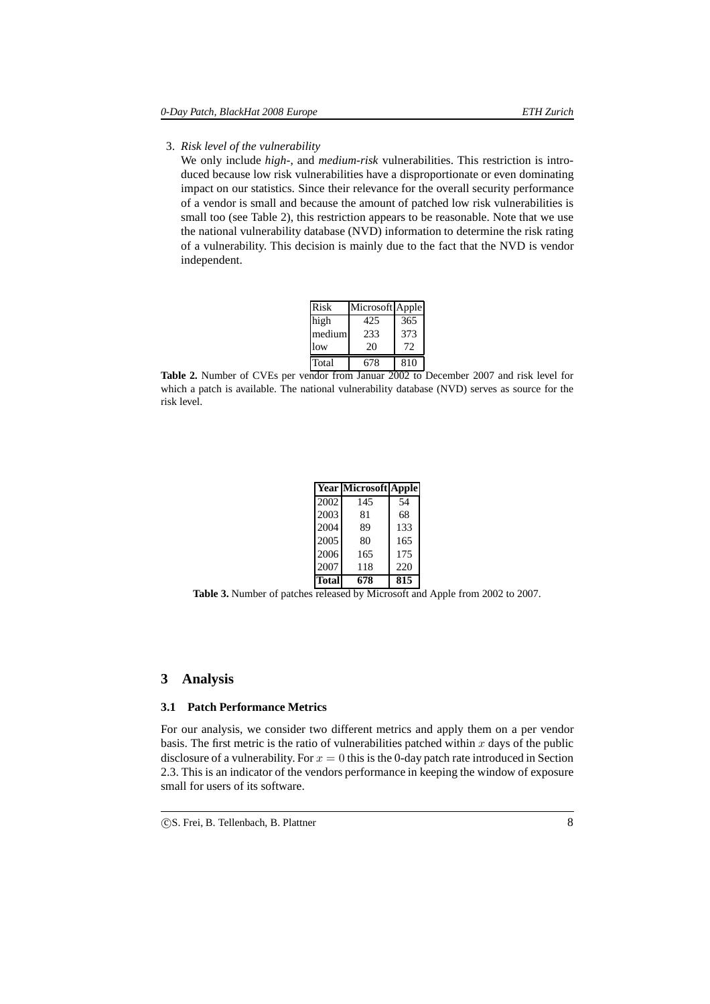#### 3. *Risk level of the vulnerability*

We only include *high-*, and *medium-risk* vulnerabilities. This restriction is introduced because low risk vulnerabilities have a disproportionate or even dominating impact on our statistics. Since their relevance for the overall security performance of a vendor is small and because the amount of patched low risk vulnerabilities is small too (see Table 2), this restriction appears to be reasonable. Note that we use the national vulnerability database (NVD) information to determine the risk rating of a vulnerability. This decision is mainly due to the fact that the NVD is vendor independent.

| <b>Risk</b> | Microsoft Apple |     |
|-------------|-----------------|-----|
| high        | 425             | 365 |
| medium      | 233             | 373 |
| low         | 20              | 72  |
| Total       | 678             | 810 |

**Table 2.** Number of CVEs per vendor from Januar 2002 to December 2007 and risk level for which a patch is available. The national vulnerability database (NVD) serves as source for the risk level.

|       | <b>Year Microsoft Apple</b> |     |
|-------|-----------------------------|-----|
| 2002  | 145                         | 54  |
| 2003  | 81                          | 68  |
| 2004  | 89                          | 133 |
| 2005  | 80                          | 165 |
| 2006  | 165                         | 175 |
| 2007  | 118                         | 220 |
| Total | 678                         | 815 |

**Table 3.** Number of patches released by Microsoft and Apple from 2002 to 2007.

# **3 Analysis**

## **3.1 Patch Performance Metrics**

For our analysis, we consider two different metrics and apply them on a per vendor basis. The first metric is the ratio of vulnerabilities patched within  $x$  days of the public disclosure of a vulnerability. For  $x = 0$  this is the 0-day patch rate introduced in Section 2.3. This is an indicator of the vendors performance in keeping the window of exposure small for users of its software.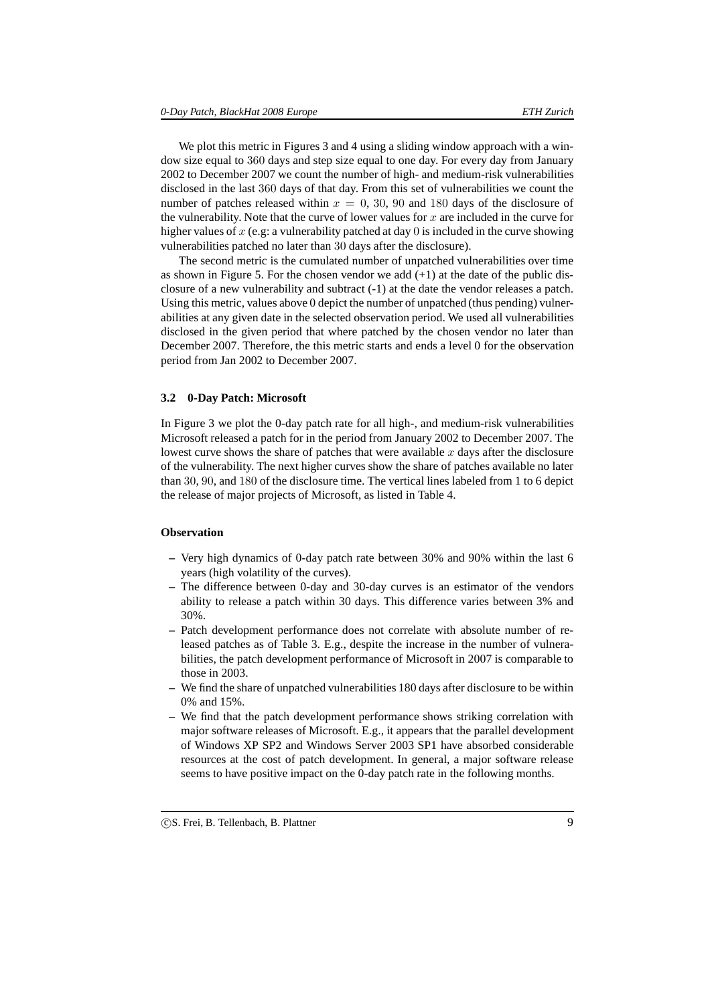We plot this metric in Figures 3 and 4 using a sliding window approach with a window size equal to 360 days and step size equal to one day. For every day from January 2002 to December 2007 we count the number of high- and medium-risk vulnerabilities disclosed in the last 360 days of that day. From this set of vulnerabilities we count the number of patches released within  $x = 0, 30, 90$  and 180 days of the disclosure of the vulnerability. Note that the curve of lower values for  $x$  are included in the curve for higher values of  $x$  (e.g: a vulnerability patched at day 0 is included in the curve showing vulnerabilities patched no later than 30 days after the disclosure).

The second metric is the cumulated number of unpatched vulnerabilities over time as shown in Figure 5. For the chosen vendor we add  $(+1)$  at the date of the public disclosure of a new vulnerability and subtract (-1) at the date the vendor releases a patch. Using this metric, values above 0 depict the number of unpatched (thus pending) vulnerabilities at any given date in the selected observation period. We used all vulnerabilities disclosed in the given period that where patched by the chosen vendor no later than December 2007. Therefore, the this metric starts and ends a level 0 for the observation period from Jan 2002 to December 2007.

#### **3.2 0-Day Patch: Microsoft**

In Figure 3 we plot the 0-day patch rate for all high-, and medium-risk vulnerabilities Microsoft released a patch for in the period from January 2002 to December 2007. The lowest curve shows the share of patches that were available  $x$  days after the disclosure of the vulnerability. The next higher curves show the share of patches available no later than 30, 90, and 180 of the disclosure time. The vertical lines labeled from 1 to 6 depict the release of major projects of Microsoft, as listed in Table 4.

### **Observation**

- **–** Very high dynamics of 0-day patch rate between 30% and 90% within the last 6 years (high volatility of the curves).
- **–** The difference between 0-day and 30-day curves is an estimator of the vendors ability to release a patch within 30 days. This difference varies between 3% and 30%.
- **–** Patch development performance does not correlate with absolute number of released patches as of Table 3. E.g., despite the increase in the number of vulnerabilities, the patch development performance of Microsoft in 2007 is comparable to those in 2003.
- **–** We find the share of unpatched vulnerabilities 180 days after disclosure to be within 0% and 15%.
- **–** We find that the patch development performance shows striking correlation with major software releases of Microsoft. E.g., it appears that the parallel development of Windows XP SP2 and Windows Server 2003 SP1 have absorbed considerable resources at the cost of patch development. In general, a major software release seems to have positive impact on the 0-day patch rate in the following months.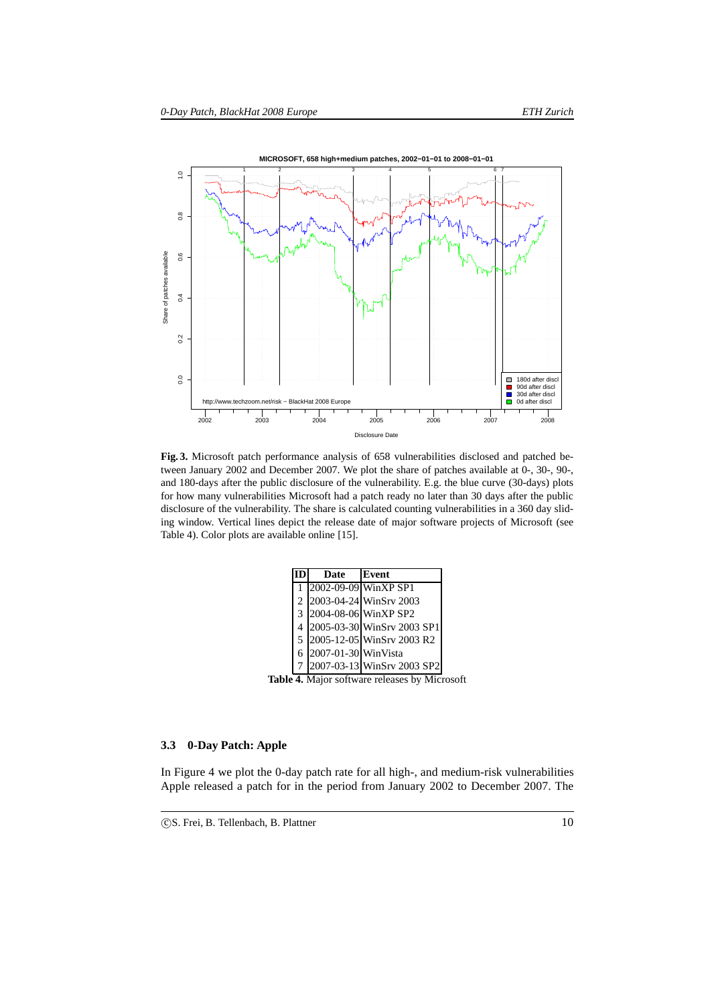

**Fig. 3.** Microsoft patch performance analysis of 658 vulnerabilities disclosed and patched between January 2002 and December 2007. We plot the share of patches available at 0-, 30-, 90-, and 180-days after the public disclosure of the vulnerability. E.g. the blue curve (30-days) plots for how many vulnerabilities Microsoft had a patch ready no later than 30 days after the public disclosure of the vulnerability. The share is calculated counting vulnerabilities in a 360 day sliding window. Vertical lines depict the release date of major software projects of Microsoft (see Table 4). Color plots are available online [15].

|               | Date                | Event                      |
|---------------|---------------------|----------------------------|
|               |                     | 2002-09-09 WinXP SP1       |
| 2             |                     | 2003-04-24 WinSrv 2003     |
| $\mathcal{F}$ |                     | 2004-08-06 WinXP SP2       |
| 4             |                     | 2005-03-30 WinSrv 2003 SP1 |
| 5             |                     | 2005-12-05 WinSrv 2003 R2  |
| 6             | 2007-01-30 WinVista |                            |
|               |                     | 2007-03-13 WinSrv 2003 SP2 |

**Table 4.** Major software releases by Microsoft

## **3.3 0-Day Patch: Apple**

In Figure 4 we plot the 0-day patch rate for all high-, and medium-risk vulnerabilities Apple released a patch for in the period from January 2002 to December 2007. The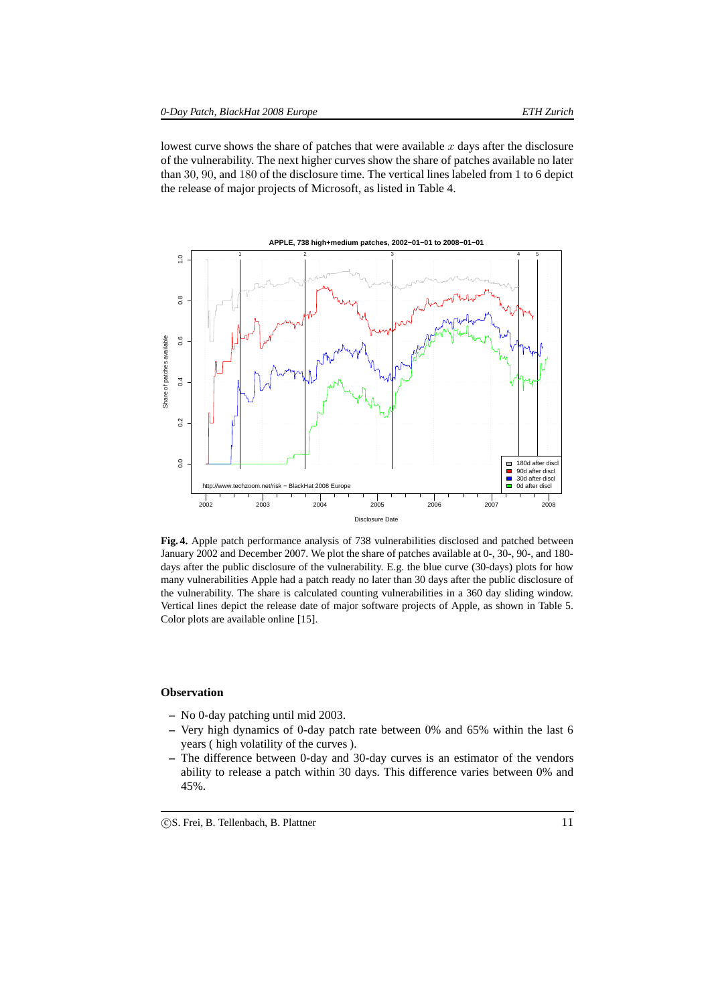lowest curve shows the share of patches that were available  $x$  days after the disclosure of the vulnerability. The next higher curves show the share of patches available no later than 30, 90, and 180 of the disclosure time. The vertical lines labeled from 1 to 6 depict the release of major projects of Microsoft, as listed in Table 4.



**Fig. 4.** Apple patch performance analysis of 738 vulnerabilities disclosed and patched between January 2002 and December 2007. We plot the share of patches available at 0-, 30-, 90-, and 180 days after the public disclosure of the vulnerability. E.g. the blue curve (30-days) plots for how many vulnerabilities Apple had a patch ready no later than 30 days after the public disclosure of the vulnerability. The share is calculated counting vulnerabilities in a 360 day sliding window. Vertical lines depict the release date of major software projects of Apple, as shown in Table 5. Color plots are available online [15].

#### **Observation**

- **–** No 0-day patching until mid 2003.
- **–** Very high dynamics of 0-day patch rate between 0% and 65% within the last 6 years ( high volatility of the curves ).
- **–** The difference between 0-day and 30-day curves is an estimator of the vendors ability to release a patch within 30 days. This difference varies between 0% and 45%.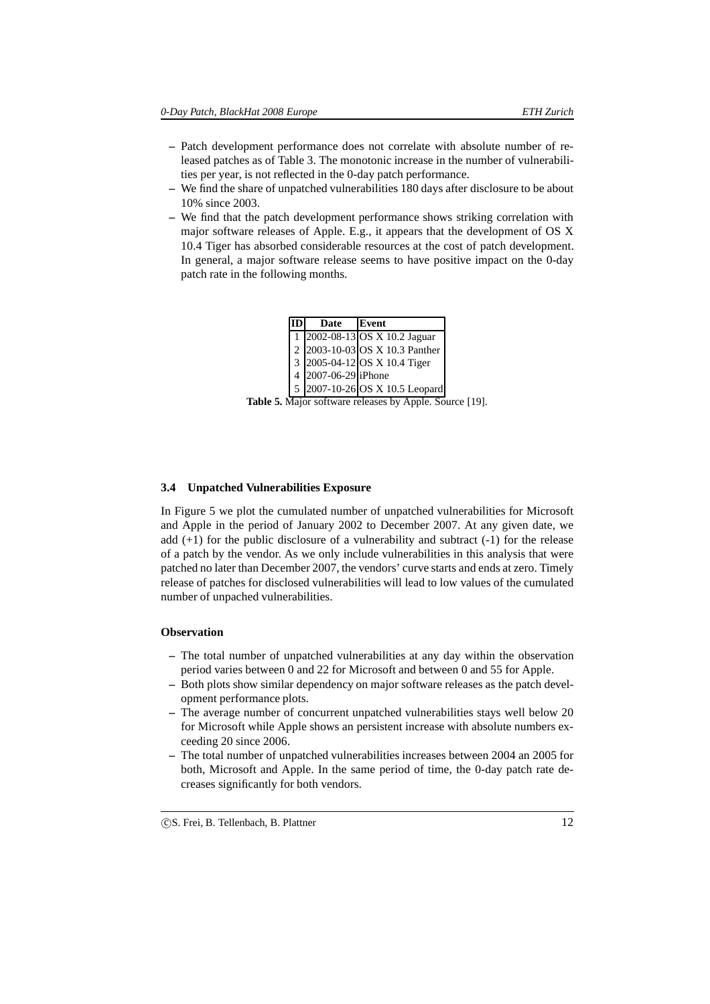- **–** Patch development performance does not correlate with absolute number of released patches as of Table 3. The monotonic increase in the number of vulnerabilities per year, is not reflected in the 0-day patch performance.
- **–** We find the share of unpatched vulnerabilities 180 days after disclosure to be about 10% since 2003.
- **–** We find that the patch development performance shows striking correlation with major software releases of Apple. E.g., it appears that the development of OS X 10.4 Tiger has absorbed considerable resources at the cost of patch development. In general, a major software release seems to have positive impact on the 0-day patch rate in the following months.

| Date                | Event                          |
|---------------------|--------------------------------|
|                     | 2002-08-13 OS X 10.2 Jaguar    |
|                     | 2 2003-10-03 OS X 10.3 Panther |
|                     | 3 2005-04-12 OS X 10.4 Tiger   |
| 4 2007-06-29 iPhone |                                |
|                     | 5 2007-10-26 OS X 10.5 Leopard |

**Table 5.** Major software releases by Apple. Source [19].

#### **3.4 Unpatched Vulnerabilities Exposure**

In Figure 5 we plot the cumulated number of unpatched vulnerabilities for Microsoft and Apple in the period of January 2002 to December 2007. At any given date, we add  $(+1)$  for the public disclosure of a vulnerability and subtract  $(-1)$  for the release of a patch by the vendor. As we only include vulnerabilities in this analysis that were patched no later than December 2007, the vendors' curve starts and ends at zero. Timely release of patches for disclosed vulnerabilities will lead to low values of the cumulated number of unpached vulnerabilities.

## **Observation**

- **–** The total number of unpatched vulnerabilities at any day within the observation period varies between 0 and 22 for Microsoft and between 0 and 55 for Apple.
- **–** Both plots show similar dependency on major software releases as the patch development performance plots.
- **–** The average number of concurrent unpatched vulnerabilities stays well below 20 for Microsoft while Apple shows an persistent increase with absolute numbers exceeding 20 since 2006.
- **–** The total number of unpatched vulnerabilities increases between 2004 an 2005 for both, Microsoft and Apple. In the same period of time, the 0-day patch rate decreases significantly for both vendors.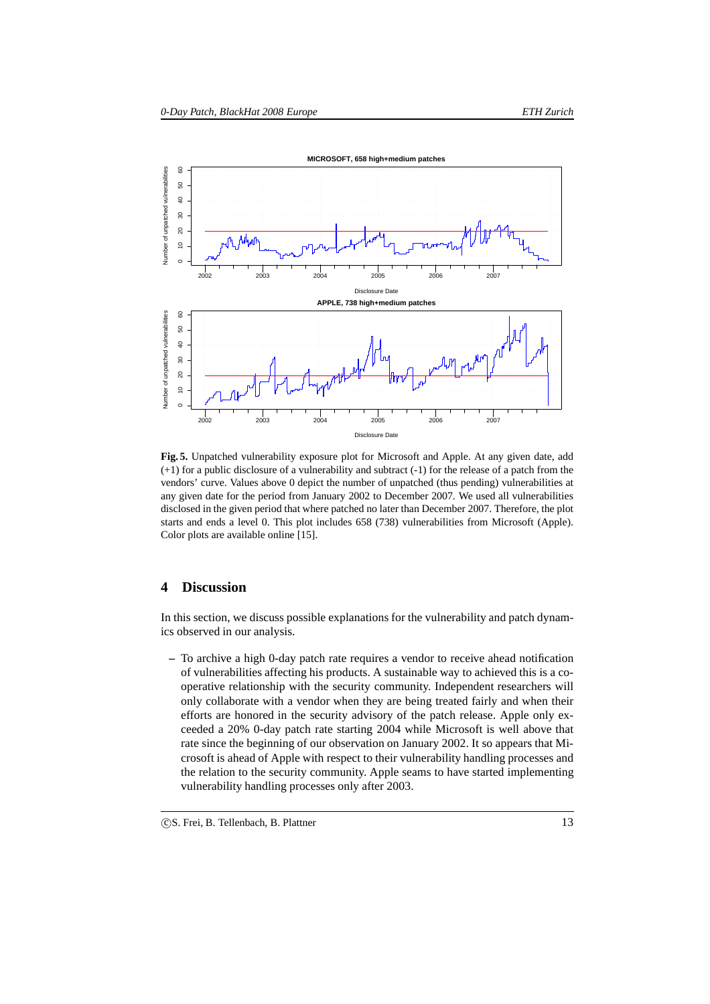

**Fig. 5.** Unpatched vulnerability exposure plot for Microsoft and Apple. At any given date, add (+1) for a public disclosure of a vulnerability and subtract (-1) for the release of a patch from the vendors' curve. Values above 0 depict the number of unpatched (thus pending) vulnerabilities at any given date for the period from January 2002 to December 2007. We used all vulnerabilities disclosed in the given period that where patched no later than December 2007. Therefore, the plot starts and ends a level 0. This plot includes 658 (738) vulnerabilities from Microsoft (Apple). Color plots are available online [15].

# **4 Discussion**

In this section, we discuss possible explanations for the vulnerability and patch dynamics observed in our analysis.

**–** To archive a high 0-day patch rate requires a vendor to receive ahead notification of vulnerabilities affecting his products. A sustainable way to achieved this is a cooperative relationship with the security community. Independent researchers will only collaborate with a vendor when they are being treated fairly and when their efforts are honored in the security advisory of the patch release. Apple only exceeded a 20% 0-day patch rate starting 2004 while Microsoft is well above that rate since the beginning of our observation on January 2002. It so appears that Microsoft is ahead of Apple with respect to their vulnerability handling processes and the relation to the security community. Apple seams to have started implementing vulnerability handling processes only after 2003.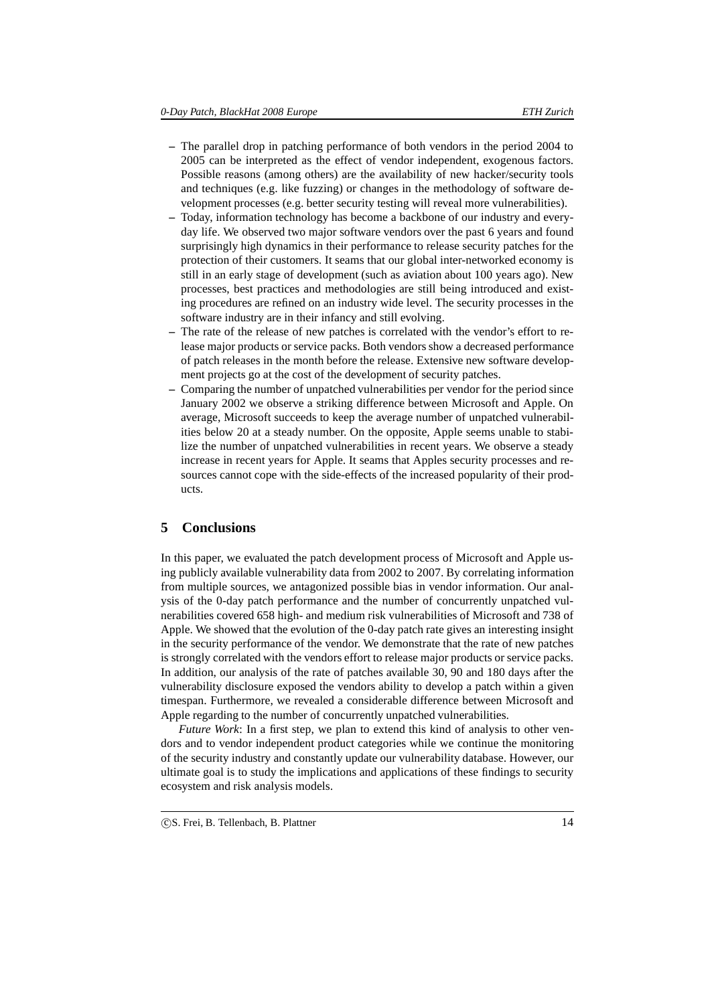- **–** The parallel drop in patching performance of both vendors in the period 2004 to 2005 can be interpreted as the effect of vendor independent, exogenous factors. Possible reasons (among others) are the availability of new hacker/security tools and techniques (e.g. like fuzzing) or changes in the methodology of software development processes (e.g. better security testing will reveal more vulnerabilities).
- **–** Today, information technology has become a backbone of our industry and everyday life. We observed two major software vendors over the past 6 years and found surprisingly high dynamics in their performance to release security patches for the protection of their customers. It seams that our global inter-networked economy is still in an early stage of development (such as aviation about 100 years ago). New processes, best practices and methodologies are still being introduced and existing procedures are refined on an industry wide level. The security processes in the software industry are in their infancy and still evolving.
- The rate of the release of new patches is correlated with the vendor's effort to release major products or service packs. Both vendors show a decreased performance of patch releases in the month before the release. Extensive new software development projects go at the cost of the development of security patches.
- **–** Comparing the number of unpatched vulnerabilities per vendor for the period since January 2002 we observe a striking difference between Microsoft and Apple. On average, Microsoft succeeds to keep the average number of unpatched vulnerabilities below 20 at a steady number. On the opposite, Apple seems unable to stabilize the number of unpatched vulnerabilities in recent years. We observe a steady increase in recent years for Apple. It seams that Apples security processes and resources cannot cope with the side-effects of the increased popularity of their products.

# **5 Conclusions**

In this paper, we evaluated the patch development process of Microsoft and Apple using publicly available vulnerability data from 2002 to 2007. By correlating information from multiple sources, we antagonized possible bias in vendor information. Our analysis of the 0-day patch performance and the number of concurrently unpatched vulnerabilities covered 658 high- and medium risk vulnerabilities of Microsoft and 738 of Apple. We showed that the evolution of the 0-day patch rate gives an interesting insight in the security performance of the vendor. We demonstrate that the rate of new patches is strongly correlated with the vendors effort to release major products or service packs. In addition, our analysis of the rate of patches available 30, 90 and 180 days after the vulnerability disclosure exposed the vendors ability to develop a patch within a given timespan. Furthermore, we revealed a considerable difference between Microsoft and Apple regarding to the number of concurrently unpatched vulnerabilities.

*Future Work*: In a first step, we plan to extend this kind of analysis to other vendors and to vendor independent product categories while we continue the monitoring of the security industry and constantly update our vulnerability database. However, our ultimate goal is to study the implications and applications of these findings to security ecosystem and risk analysis models.